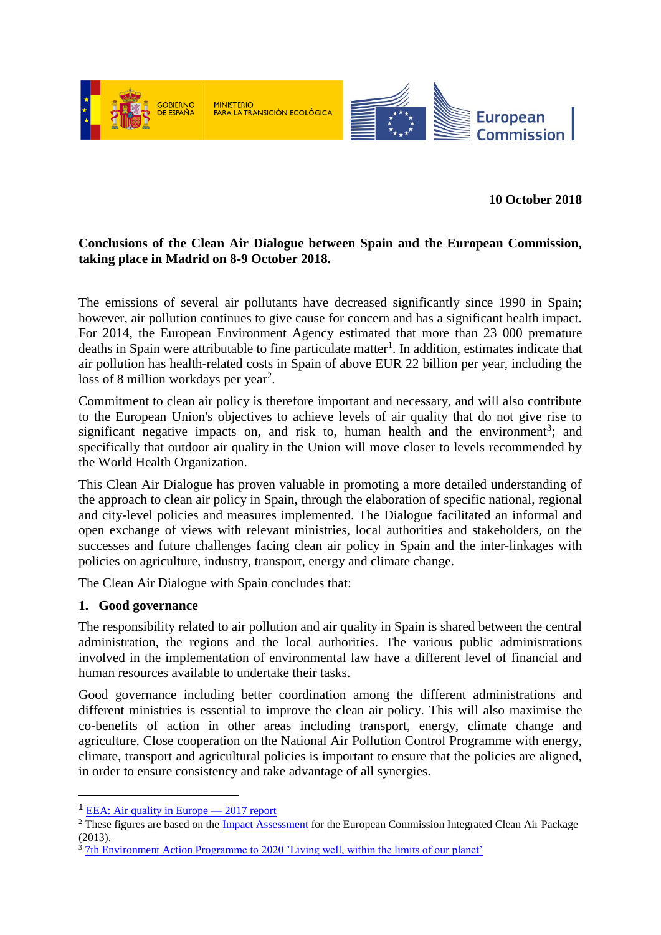

**10 October 2018**

# **Conclusions of the Clean Air Dialogue between Spain and the European Commission, taking place in Madrid on 8-9 October 2018.**

The emissions of several air pollutants have decreased significantly since 1990 in Spain; however, air pollution continues to give cause for concern and has a significant health impact. For 2014, the European Environment Agency estimated that more than 23 000 premature deaths in Spain were attributable to fine particulate matter<sup>1</sup>. In addition, estimates indicate that air pollution has health-related costs in Spain of above EUR 22 billion per year, including the loss of 8 million workdays per year<sup>2</sup>.

Commitment to clean air policy is therefore important and necessary, and will also contribute to the European Union's objectives to achieve levels of air quality that do not give rise to significant negative impacts on, and risk to, human health and the environment<sup>3</sup>; and specifically that outdoor air quality in the Union will move closer to levels recommended by the World Health Organization.

This Clean Air Dialogue has proven valuable in promoting a more detailed understanding of the approach to clean air policy in Spain, through the elaboration of specific national, regional and city-level policies and measures implemented. The Dialogue facilitated an informal and open exchange of views with relevant ministries, local authorities and stakeholders, on the successes and future challenges facing clean air policy in Spain and the inter-linkages with policies on agriculture, industry, transport, energy and climate change.

The Clean Air Dialogue with Spain concludes that:

# **1. Good governance**

**.** 

The responsibility related to air pollution and air quality in Spain is shared between the central administration, the regions and the local authorities. The various public administrations involved in the implementation of environmental law have a different level of financial and human resources available to undertake their tasks.

Good governance including better coordination among the different administrations and different ministries is essential to improve the clean air policy. This will also maximise the co-benefits of action in other areas including transport, energy, climate change and agriculture. Close cooperation on the National Air Pollution Control Programme with energy, climate, transport and agricultural policies is important to ensure that the policies are aligned, in order to ensure consistency and take advantage of all synergies.

<sup>&</sup>lt;sup>1</sup> EEA: Air quality in Europe  $-2017$  report

<sup>&</sup>lt;sup>2</sup> These figures are based on the *Impact Assessment* for the European Commission Integrated Clean Air Package (2013).

 $3 \text{ 7th Environment Action Programme to } 2020$  'Living well, within the limits of our planet'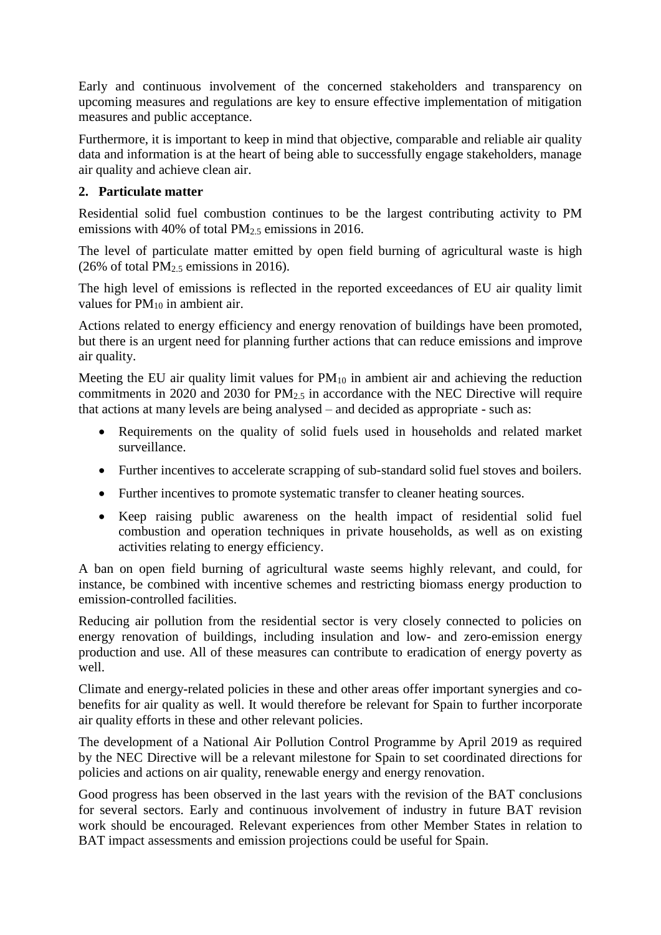Early and continuous involvement of the concerned stakeholders and transparency on upcoming measures and regulations are key to ensure effective implementation of mitigation measures and public acceptance.

Furthermore, it is important to keep in mind that objective, comparable and reliable air quality data and information is at the heart of being able to successfully engage stakeholders, manage air quality and achieve clean air.

# **2. Particulate matter**

Residential solid fuel combustion continues to be the largest contributing activity to PM emissions with 40% of total PM2.5 emissions in 2016.

The level of particulate matter emitted by open field burning of agricultural waste is high (26% of total  $PM<sub>2.5</sub>$  emissions in 2016).

The high level of emissions is reflected in the reported exceedances of EU air quality limit values for  $PM_{10}$  in ambient air.

Actions related to energy efficiency and energy renovation of buildings have been promoted, but there is an urgent need for planning further actions that can reduce emissions and improve air quality.

Meeting the EU air quality limit values for  $PM_{10}$  in ambient air and achieving the reduction commitments in 2020 and 2030 for  $PM_{2.5}$  in accordance with the NEC Directive will require that actions at many levels are being analysed – and decided as appropriate - such as:

- Requirements on the quality of solid fuels used in households and related market surveillance.
- Further incentives to accelerate scrapping of sub-standard solid fuel stoves and boilers.
- Further incentives to promote systematic transfer to cleaner heating sources.
- Keep raising public awareness on the health impact of residential solid fuel combustion and operation techniques in private households, as well as on existing activities relating to energy efficiency.

A ban on open field burning of agricultural waste seems highly relevant, and could, for instance, be combined with incentive schemes and restricting biomass energy production to emission-controlled facilities.

Reducing air pollution from the residential sector is very closely connected to policies on energy renovation of buildings, including insulation and low- and zero-emission energy production and use. All of these measures can contribute to eradication of energy poverty as well.

Climate and energy-related policies in these and other areas offer important synergies and cobenefits for air quality as well. It would therefore be relevant for Spain to further incorporate air quality efforts in these and other relevant policies.

The development of a National Air Pollution Control Programme by April 2019 as required by the NEC Directive will be a relevant milestone for Spain to set coordinated directions for policies and actions on air quality, renewable energy and energy renovation.

Good progress has been observed in the last years with the revision of the BAT conclusions for several sectors. Early and continuous involvement of industry in future BAT revision work should be encouraged. Relevant experiences from other Member States in relation to BAT impact assessments and emission projections could be useful for Spain.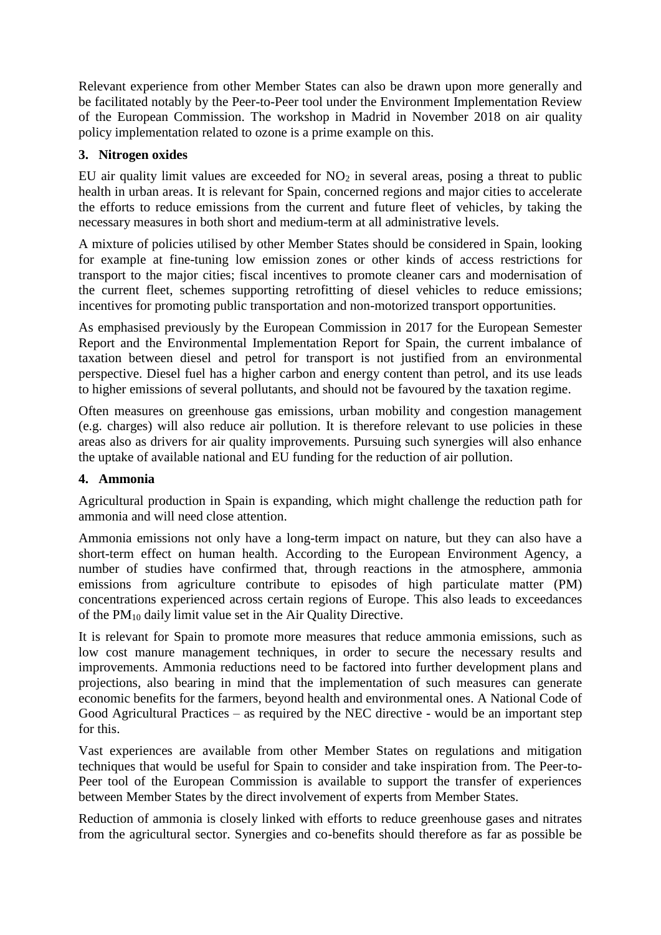Relevant experience from other Member States can also be drawn upon more generally and be facilitated notably by the Peer-to-Peer tool under the Environment Implementation Review of the European Commission. The workshop in Madrid in November 2018 on air quality policy implementation related to ozone is a prime example on this.

# **3. Nitrogen oxides**

EU air quality limit values are exceeded for  $NO<sub>2</sub>$  in several areas, posing a threat to public health in urban areas. It is relevant for Spain, concerned regions and major cities to accelerate the efforts to reduce emissions from the current and future fleet of vehicles, by taking the necessary measures in both short and medium-term at all administrative levels.

A mixture of policies utilised by other Member States should be considered in Spain, looking for example at fine-tuning low emission zones or other kinds of access restrictions for transport to the major cities; fiscal incentives to promote cleaner cars and modernisation of the current fleet, schemes supporting retrofitting of diesel vehicles to reduce emissions; incentives for promoting public transportation and non-motorized transport opportunities.

As emphasised previously by the European Commission in 2017 for the European Semester Report and the Environmental Implementation Report for Spain, the current imbalance of taxation between diesel and petrol for transport is not justified from an environmental perspective. Diesel fuel has a higher carbon and energy content than petrol, and its use leads to higher emissions of several pollutants, and should not be favoured by the taxation regime.

Often measures on greenhouse gas emissions, urban mobility and congestion management (e.g. charges) will also reduce air pollution. It is therefore relevant to use policies in these areas also as drivers for air quality improvements. Pursuing such synergies will also enhance the uptake of available national and EU funding for the reduction of air pollution.

# **4. Ammonia**

Agricultural production in Spain is expanding, which might challenge the reduction path for ammonia and will need close attention.

Ammonia emissions not only have a long-term impact on nature, but they can also have a short-term effect on human health. According to the European Environment Agency, a number of studies have confirmed that, through reactions in the atmosphere, ammonia emissions from agriculture contribute to episodes of high particulate matter (PM) concentrations experienced across certain regions of Europe. This also leads to exceedances of the PM<sup>10</sup> daily limit value set in the Air Quality Directive.

It is relevant for Spain to promote more measures that reduce ammonia emissions, such as low cost manure management techniques, in order to secure the necessary results and improvements. Ammonia reductions need to be factored into further development plans and projections, also bearing in mind that the implementation of such measures can generate economic benefits for the farmers, beyond health and environmental ones. A National Code of Good Agricultural Practices – as required by the NEC directive - would be an important step for this.

Vast experiences are available from other Member States on regulations and mitigation techniques that would be useful for Spain to consider and take inspiration from. The Peer-to-Peer tool of the European Commission is available to support the transfer of experiences between Member States by the direct involvement of experts from Member States.

Reduction of ammonia is closely linked with efforts to reduce greenhouse gases and nitrates from the agricultural sector. Synergies and co-benefits should therefore as far as possible be